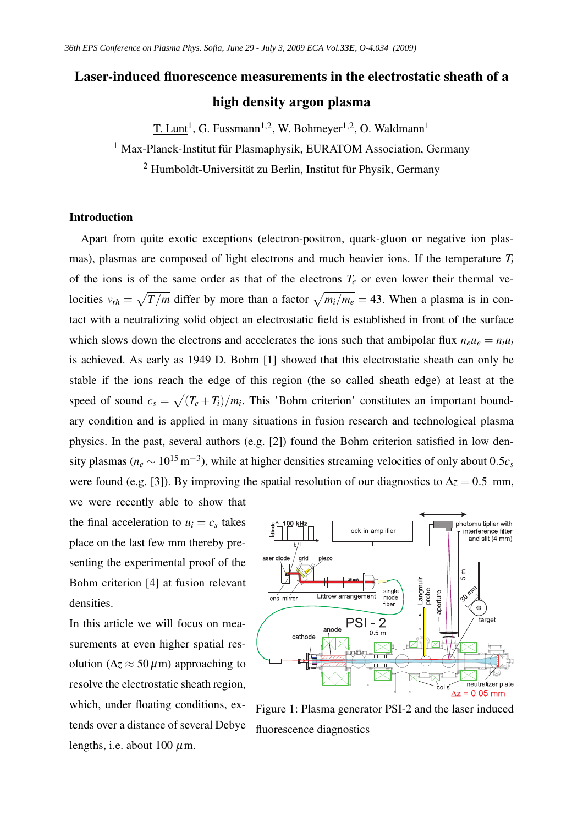# Laser-induced fluorescence measurements in the electrostatic sheath of a high density argon plasma

T. Lunt<sup>1</sup>, G. Fussmann<sup>1,2</sup>, W. Bohmeyer<sup>1,2</sup>, O. Waldmann<sup>1</sup>

<sup>1</sup> Max-Planck-Institut für Plasmaphysik, EURATOM Association, Germany

<sup>2</sup> Humboldt-Universität zu Berlin, Institut für Physik, Germany

### Introduction

Apart from quite exotic exceptions (electron-positron, quark-gluon or negative ion plasmas), plasmas are composed of light electrons and much heavier ions. If the temperature *T<sup>i</sup>* of the ions is of the same order as that of the electrons  $T_e$  or even lower their thermal velocities  $v_{th} = \sqrt{T/m}$  differ by more than a factor  $\sqrt{m_i/m_e} = 43$ . When a plasma is in contact with a neutralizing solid object an electrostatic field is established in front of the surface which slows down the electrons and accelerates the ions such that ambipolar flux  $n_e u_e = n_i u_i$ is achieved. As early as 1949 D. Bohm [1] showed that this electrostatic sheath can only be stable if the ions reach the edge of this region (the so called sheath edge) at least at the speed of sound  $c_s = \sqrt{(T_e + T_i)/m_i}$ . This 'Bohm criterion' constitutes an important boundary condition and is applied in many situations in fusion research and technological plasma physics. In the past, several authors (e.g. [2]) found the Bohm criterion satisfied in low density plasmas ( $n_e \sim 10^{15} \text{ m}^{-3}$ ), while at higher densities streaming velocities of only about 0.5 $c_s$ were found (e.g. [3]). By improving the spatial resolution of our diagnostics to  $\Delta z = 0.5$  mm, we were recently able to show that

the final acceleration to  $u_i = c_s$  takes place on the last few mm thereby presenting the experimental proof of the Bohm criterion [4] at fusion relevant densities.

In this article we will focus on measurements at even higher spatial resolution ( $\Delta z \approx 50 \,\mu$ m) approaching to resolve the electrostatic sheath region, which, under floating conditions, extends over a distance of several Debye lengths, i.e. about 100  $\mu$ m.



Figure 1: Plasma generator PSI-2 and the laser induced fluorescence diagnostics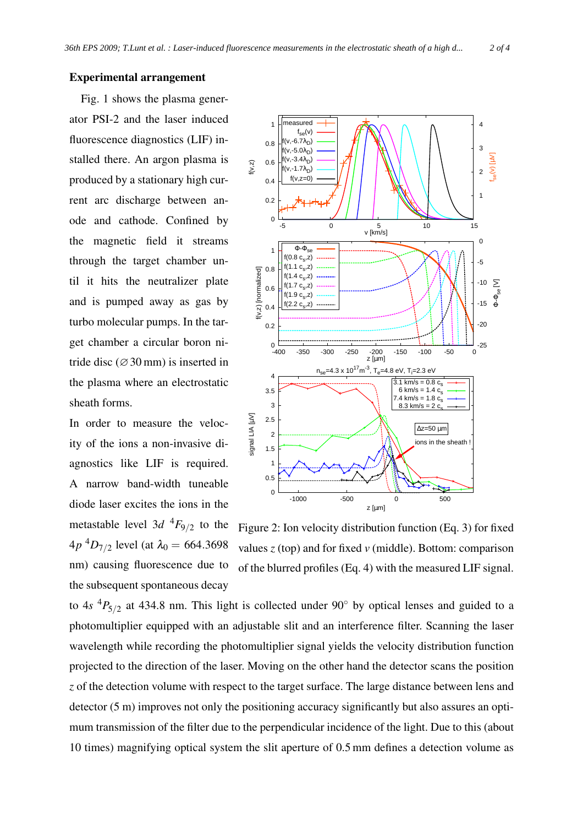## Experimental arrangement

Fig. 1 shows the plasma generator PSI-2 and the laser induced fluorescence diagnostics (LIF) installed there. An argon plasma is produced by a stationary high current arc discharge between anode and cathode. Confined by the magnetic field it streams through the target chamber until it hits the neutralizer plate and is pumped away as gas by turbo molecular pumps. In the target chamber a circular boron nitride disc ( $\varnothing$ 30 mm) is inserted in the plasma where an electrostatic sheath forms.

In order to measure the velocity of the ions a non-invasive diagnostics like LIF is required. A narrow band-width tuneable diode laser excites the ions in the metastable level  $3d \frac{4F_{9}}{2}$  to the  $4p<sup>4</sup>D<sub>7/2</sub>$  level (at  $\lambda_0 = 664.3698$ nm) causing fluorescence due to the subsequent spontaneous decay

measured 1 4  $f_{\text{se}}(v)$ f(v,-6.7λ<sub>D</sub>) 0.8 3 f(v,-5.0λ<sub>D</sub>)  $\mathbb{W}$ ]  $\mathbb{W}$ f(v,-3.4λ<sub>D</sub>) 0.6  $(V, Z)$ f(v,-1.7λ<sub>D</sub>) 2  $f(v,z=0)$  0.4 1 0.2  $\Omega$ -5 0 5 10 15 v [km/s]  $\Omega$  $\overline{\Phi}$ - $\Phi_{\rm sc}$  1 f(0.8 c<sub>s</sub>,z) -5 f(1.1 c<sub>s</sub>,z) 0.8 (v,z) [normalized] f(v,z) [normalized] f(1.4 c<sub>s</sub>,z)  $Φ$ <sub>se</sub> [V] -10  $f(1.7\ c_{s},z)$  0.6 f(1.9 c<sub>s</sub>,z) -15  $(2.2 c$ ,z) 0.4 -20  $0.2$  $_{-400}^{0}$ -25 z [µm] -400 -350 -300 -250 -200 -150 -100 -50 0 n<sub>se</sub>=4.3 x 10<sup>17</sup>m<sup>-3</sup>, T<sub>e</sub>=4.8 eV, T<sub>i</sub>=2.3 eV 4  $\frac{1}{3.1 \text{ km/s} = 0.8 \text{ c}_\text{s}}$  3.5 6 km/s =  $1.4 c_s$ 7.4 km/s =  $1.8 \text{ c}_s$  3  $8.3$  km/s – 2 cs signal LIA [µV] gnal LIA [µV] 2.5 ∆z=50 µm 2 ns in the sheath 1.5 1 0.5  $\Omega$ -1000 -500 0 500 z [µm]

Figure 2: Ion velocity distribution function (Eq. 3) for fixed values *z* (top) and for fixed *v* (middle). Bottom: comparison of the blurred profiles (Eq. 4) with the measured LIF signal.

to  $4s$   ${}^{4}P_{5/2}$  at 434.8 nm. This light is collected under 90 $^{\circ}$  by optical lenses and guided to a photomultiplier equipped with an adjustable slit and an interference filter. Scanning the laser wavelength while recording the photomultiplier signal yields the velocity distribution function projected to the direction of the laser. Moving on the other hand the detector scans the position *z* of the detection volume with respect to the target surface. The large distance between lens and detector (5 m) improves not only the positioning accuracy significantly but also assures an optimum transmission of the filter due to the perpendicular incidence of the light. Due to this (about 10 times) magnifying optical system the slit aperture of 0.5 mm defines a detection volume as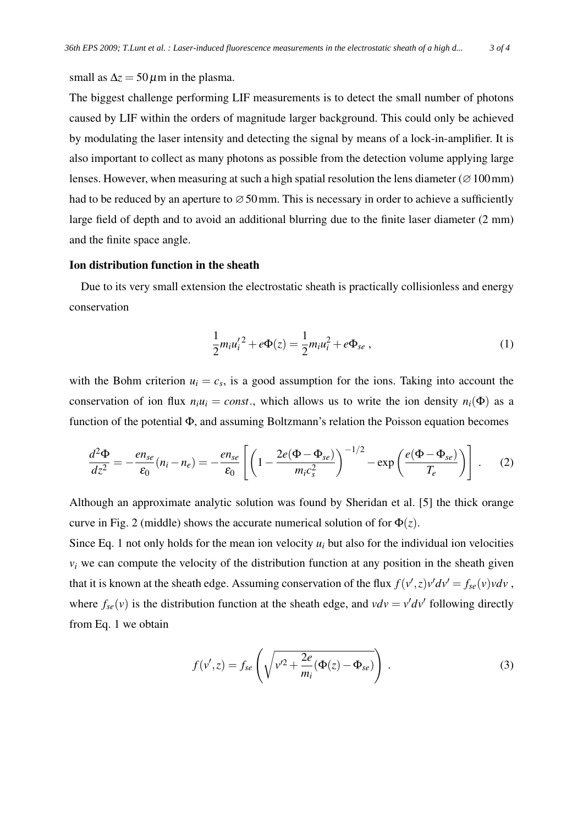small as  $\Delta z = 50 \,\mu \text{m}$  in the plasma.

The biggest challenge performing LIF measurements is to detect the small number of photons caused by LIF within the orders of magnitude larger background. This could only be achieved by modulating the laser intensity and detecting the signal by means of a lock-in-amplifier. It is also important to collect as many photons as possible from the detection volume applying large lenses. However, when measuring at such a high spatial resolution the lens diameter ( $\varnothing$ 100 mm) had to be reduced by an aperture to  $\varnothing$  50 mm. This is necessary in order to achieve a sufficiently large field of depth and to avoid an additional blurring due to the finite laser diameter (2 mm) and the finite space angle.

# Ion distribution function in the sheath

Due to its very small extension the electrostatic sheath is practically collisionless and energy conservation

$$
\frac{1}{2}m_i u_i'^2 + e\Phi(z) = \frac{1}{2}m_i u_i^2 + e\Phi_{se} ,
$$
 (1)

with the Bohm criterion  $u_i = c_s$ , is a good assumption for the ions. Taking into account the conservation of ion flux  $n_i u_i = const.$ , which allows us to write the ion density  $n_i(\Phi)$  as a function of the potential Φ, and assuming Boltzmann's relation the Poisson equation becomes

$$
\frac{d^2\Phi}{dz^2} = -\frac{en_{se}}{\varepsilon_0}(n_i - n_e) = -\frac{en_{se}}{\varepsilon_0}\left[\left(1 - \frac{2e(\Phi - \Phi_{se})}{m_ic_s^2}\right)^{-1/2} - \exp\left(\frac{e(\Phi - \Phi_{se})}{T_e}\right)\right].
$$
 (2)

Although an approximate analytic solution was found by Sheridan et al. [5] the thick orange curve in Fig. 2 (middle) shows the accurate numerical solution of for  $\Phi(z)$ .

Since Eq. 1 not only holds for the mean ion velocity *u<sup>i</sup>* but also for the individual ion velocities  $v_i$  we can compute the velocity of the distribution function at any position in the sheath given that it is known at the sheath edge. Assuming conservation of the flux  $f(v',z)v'dv' = f_{se}(v)vdv$ , where  $f_{se}(v)$  is the distribution function at the sheath edge, and  $vdv = v'dv'$  following directly from Eq. 1 we obtain

$$
f(v',z) = f_{se}\left(\sqrt{v'^2 + \frac{2e}{m_i}(\Phi(z) - \Phi_{se})}\right).
$$
 (3)